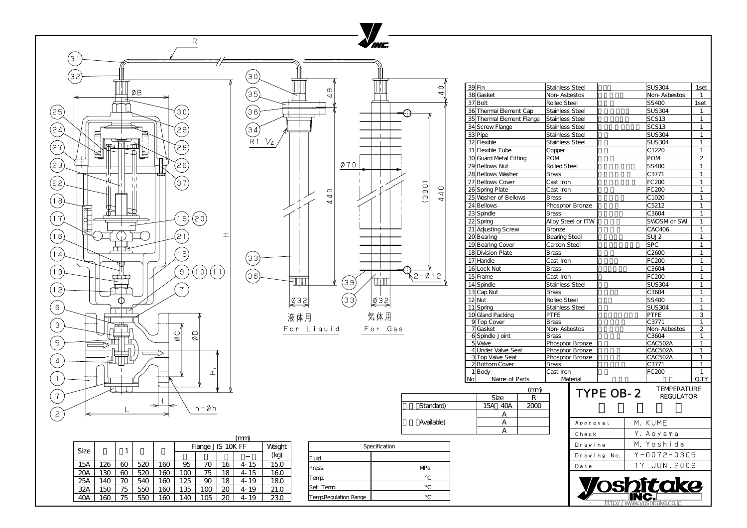|                       | Specification |
|-----------------------|---------------|
| Fluid                 |               |
| Press.                | MPa           |
| Temp.                 |               |
| Set Temp              |               |
| Temp.Regulation Range |               |

|             |     |    |     |     | (mm) |                   |    |      |      |  |  |
|-------------|-----|----|-----|-----|------|-------------------|----|------|------|--|--|
| <b>Size</b> |     |    |     |     |      | Flange JIS 10K FF |    |      |      |  |  |
|             |     |    |     |     |      |                   |    |      | (kg) |  |  |
| 15A         | 126 | 60 | 520 | 160 | 95   | 70                | 16 | 4-15 | 15.0 |  |  |
| 20A         | 130 | 60 | 520 | 160 | 100  | 75                | 18 | 4-15 | 16.0 |  |  |
| 25A         | 140 | 70 | 540 | 160 | 125  | 90                | 18 | 4-19 | 18.0 |  |  |
| 32A         | 150 | 75 | 550 | 160 | 135  | 100               | 20 | 4-19 | 21.0 |  |  |
| 4QA         | 160 | 75 | 550 | 160 | 140  | 105               | 20 | 4-19 | 23.0 |  |  |



| 39Fin |                                   |                     | <b>Stainless Steel</b> |                        |                  |                     | <b>SUS304</b>        | 1set           |
|-------|-----------------------------------|---------------------|------------------------|------------------------|------------------|---------------------|----------------------|----------------|
|       | 38 Gasket                         | <b>Non-Asbestos</b> |                        |                        |                  | <b>Non-Asbestos</b> | 1                    |                |
|       | 37 Bolt                           |                     | <b>Rolled Steel</b>    |                        |                  |                     | SS400                | 1set           |
|       | 36 Thermal Element Cap            |                     | Stainless Steel        |                        |                  |                     | <b>SUS304</b>        | 1              |
|       | 35 Thermal Element Flange         |                     | <b>Stainless Steel</b> |                        |                  |                     | SCS <sub>13</sub>    | 1              |
|       | 34 Screw Flange                   |                     | <b>Stainless Steel</b> |                        |                  |                     | <b>SCS13</b>         | 1              |
|       | 33 Pipe                           |                     | <b>Stainless Steel</b> |                        |                  |                     | <b>SUS304</b>        | 1              |
|       | 32 Flexible                       |                     | Stainless Steel        |                        |                  |                     | <b>SUS304</b>        | 1              |
|       | 31 Flexible Tube                  |                     | Copper                 |                        |                  |                     | C1220                | 1              |
|       | 30 Guard Metal Fitting            |                     | <b>POM</b>             |                        |                  |                     | <b>POM</b>           | $\overline{2}$ |
|       | 29 Bellows Nut                    |                     | <b>Rolled Steel</b>    |                        |                  |                     | SS400                | 1              |
|       | 28 Bellows Washer                 |                     | <b>Brass</b>           |                        |                  |                     | C3771                | 1              |
|       | 27 Bellows Cover                  |                     | Cast Iron              |                        |                  |                     | FC200                | 1              |
|       | 26 Spring Plate                   |                     | Cast Iron              |                        |                  |                     | FC200                | 1              |
|       | 25 Washer of Bellows              |                     | Brass                  |                        |                  |                     | C <sub>1020</sub>    | 1              |
|       | 24 Bellows                        |                     |                        | <b>Phosphor Bronze</b> |                  |                     | C5212                | 1              |
|       | 23 Spindle                        |                     | <b>Brass</b>           |                        |                  |                     | C3604                | 1              |
|       | 22 Spring                         |                     |                        | Alloy Steel or ITW     |                  |                     | SWOSM or SWI         | 1              |
|       | 21 Adjusting Screw                |                     | Bronze                 |                        |                  |                     | CAC406               | 1              |
|       | 20 Bearing                        |                     | <b>Bearing Steel</b>   |                        |                  |                     | SUJ <sub>2</sub>     | 1              |
|       | 19 Bearing Cover                  |                     | Carbon Steel           |                        |                  |                     | <b>SPC</b>           | 1              |
|       | 18 Division Plate                 |                     | Brass                  |                        |                  |                     | C2600                | 1              |
|       | 17 Handle                         |                     | Cast Iron              |                        |                  |                     | FC200                | 1              |
|       | 16 Lock Nut                       |                     | <b>Brass</b>           |                        |                  |                     | C3604                | 1              |
|       | 15 Frame                          |                     | Cast Iron              |                        |                  |                     | FC200                | 1              |
|       | 14 Spindle                        |                     | <b>Stainless Steel</b> |                        |                  |                     | <b>SUS304</b>        | 1              |
|       | 13 Cap Nut                        |                     | Brass                  |                        |                  |                     | C3604                | 1              |
|       | 12 Nut                            |                     |                        | <b>Rolled Steel</b>    |                  |                     | SS400                | 1              |
|       | 11 Spring                         |                     | Stainless Steel        |                        |                  |                     | <b>SUS304</b>        | 1              |
|       | 10 Gland Packing                  |                     | <b>PTFE</b>            |                        |                  |                     | <b>PTFE</b>          | 3              |
|       | 9 Top Cover                       |                     | Brass                  |                        |                  |                     | C3771                | 1              |
|       | 7 Gasket                          |                     | <b>Non-Asbestos</b>    |                        |                  |                     | Non-Asbestos         | 2              |
|       | 6 Spindle Joint                   |                     | Brass                  |                        |                  |                     | C3604                | 1              |
|       | 5 Valve                           |                     |                        | Phosphor Bronze        |                  |                     | CAC502A              | 1              |
|       | 4 Under Valve Seat                |                     |                        | <b>Phosphor Bronze</b> |                  |                     | CAC502A              | 1              |
|       | 3 Top Valve Seat<br>2Bottom Cover |                     |                        | Phosphor Bronze        |                  |                     | CAC502A<br>C3771     | 1<br>1         |
|       | 1Body                             |                     | Brass<br>Cast Iron     |                        |                  |                     | FC200                | 1              |
| No    | Name of Parts                     |                     |                        | Material               |                  |                     |                      | Q.TY           |
|       |                                   |                     |                        |                        |                  |                     |                      |                |
|       |                                   | (mm)                |                        |                        | <b>TYPE OB-2</b> |                     | <b>TEMPERATURE</b>   |                |
|       | <b>Size</b>                       | R                   |                        |                        |                  |                     | <b>REGULATOR</b>     |                |
|       | 15A<br>40A                        | 2000                |                        |                        |                  |                     |                      |                |
|       | Α                                 |                     |                        |                        |                  |                     |                      |                |
|       | A                                 |                     |                        | Approval               |                  |                     | M. KUME              |                |
|       | A                                 |                     |                        | Check                  |                  |                     | Y. Aoyama            |                |
|       |                                   |                     |                        | Drawing                |                  |                     | M. Yoshida           |                |
|       |                                   |                     |                        |                        | Drawing No.      |                     | $Y - 0072 - 0305$    |                |
|       |                                   |                     |                        |                        |                  |                     |                      |                |
|       |                                   |                     |                        | Date                   |                  |                     | 17 JUN.2009          |                |
|       |                                   |                     |                        |                        |                  |                     | itoke                |                |
|       |                                   |                     |                        |                        |                  |                     |                      |                |
|       |                                   |                     |                        |                        |                  |                     | /www.yoshitake.co.jp |                |

|            | <b>Size</b> |  |
|------------|-------------|--|
| Standard)  | 15A         |  |
|            |             |  |
| Available) |             |  |
|            |             |  |

 $\sqrt{10}$ 

 $440$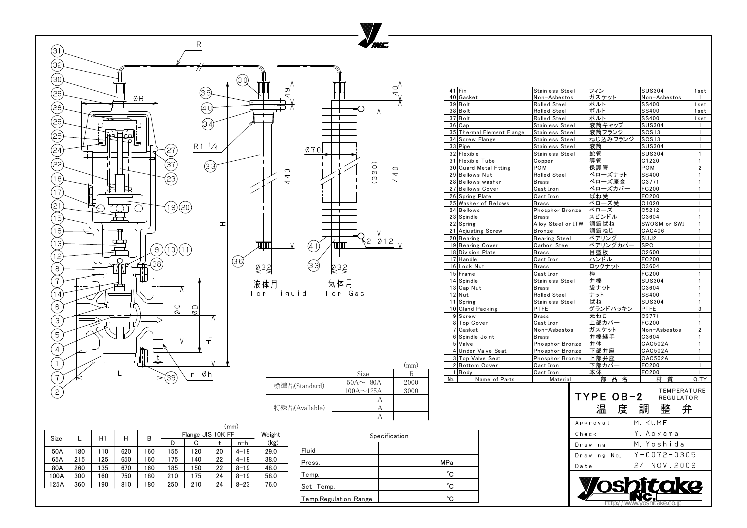|                             |     |    | (mm      |      |                              |               |
|-----------------------------|-----|----|----------|------|------------------------------|---------------|
| Weight<br>Flange JIS 10K FF |     |    |          |      |                              | Specification |
|                             | G   |    | n-h      | (kg) |                              |               |
|                             | 120 | 20 | $4 - 19$ | 29.0 | Fluid                        |               |
|                             | 140 | 22 | $4 - 19$ | 38.0 | Press.                       | <b>MPa</b>    |
|                             | 150 | 22 | $8 - 19$ | 48.0 |                              |               |
|                             | 175 | 24 | $8 - 19$ | 58.0 | emp.                         | $^{\circ}C$   |
|                             | 210 | 24 | $8 - 23$ | 76.0 | Set<br>Temp.                 | $^{\circ}$ C  |
|                             |     |    |          |      | <b>Temp.Regulation Range</b> | $^{\circ}C$   |

| 41 Fin                    | Stainless Steel    | フィン                 | <b>SUS304</b>                                         | 1set           |
|---------------------------|--------------------|---------------------|-------------------------------------------------------|----------------|
| 40 Gasket                 | Non-Asbestos       | ガスケット               | Non-Asbestos                                          | $\mathbf{1}$   |
| $39$ Bolt                 | Rolled Steel       | ボルト                 | <b>SS400</b>                                          | 1set           |
| $38$ Bolt                 | Rolled Steel       | ボルト                 | <b>SS400</b>                                          | 1set           |
| 37 Bolt                   | Rolled Steel       | ボルト                 | <b>SS400</b>                                          | 1set           |
| 36 Cap                    | Stainless Steel    | 液筒キャップ              | <b>SUS304</b>                                         | $\mathbf{1}$   |
| 35 Thermal Element Flange | Stainless Steel    | 液筒フランジ              | SCS <sub>13</sub>                                     | 1              |
| 34 Screw Flange           | Stainless Steel    | ねじ込みフランジ            | SCS <sub>13</sub>                                     | 1              |
| $33$ Pipe                 | Stainless Steel    | 液筒                  | <b>SUS304</b>                                         | $\mathbf{1}$   |
| 32 Flexible               | Stainless Steel    | 蛇管                  | <b>SUS304</b>                                         | 1              |
| 31 Flexible Tube          | Copper             | 導管                  | C1220                                                 | $\mathbf{1}$   |
| 30 Guard Metal Fitting    | <b>POM</b>         | 保護管                 | POM                                                   | $\overline{2}$ |
| 29 Bellows Nut            | Rolled Steel       | ベローズナット             | <b>SS400</b>                                          | 1              |
| 28 Bellows washer         | <b>Brass</b>       | ベローズ座金              | C3771                                                 | 1              |
| 27 Bellows Cover          | Cast Iron          | ベローズカバー             | <b>FC200</b>                                          | 1              |
| 26 Spring Plate           |                    | ばね受                 | FC200                                                 | 1              |
|                           | Cast Iron          | ベローズ受               |                                                       | 1              |
| 25 Washer of Bellows      | Brass              |                     | C <sub>1020</sub>                                     | 1              |
| 24 Bellows                | Phosphor Bronze    | ベローズ                | C5212                                                 |                |
| $23$ Spindle              | <b>Brass</b>       | スピンドル               | C3604                                                 | 1              |
| 22 Spring                 | Alloy Steel or ITW | 調節ばね                | SWOSM or SWI                                          | 1              |
| 21 Adjusting Screw        | <b>Bronze</b>      | 調節ねじ                | CAC406                                                | $\mathbf{1}$   |
| 20 Bearing                | Bearing Steel      | ベアリング               | SUJ <sub>2</sub>                                      | 1              |
| 19 Bearing Cover          | Carbon Steel       | ベアリングカバー            | <b>SPC</b>                                            | 1              |
| 18 Division Plate         | Brass              | 目盛板                 | C2600                                                 | 1              |
| 17 Handle                 | Cast Iron          | ハンドル                | FC200                                                 | $\mathbf{1}$   |
| 16 Lock Nut               | <b>Brass</b>       | ロックナット              | C3604                                                 | 1              |
| 15 Frame                  | Cast Iron          | 枠                   | <b>FC200</b>                                          | 1              |
| 14 Spindle                | Stainless Steel    | 弁棒                  | <b>SUS304</b>                                         | 1              |
| 13 Cap Nut                | Brass              | 袋ナット                | C3604                                                 | $\mathbf{1}$   |
| $12$ Nut                  | Rolled Steel       | ナット                 | <b>SS400</b>                                          | 1              |
| 11 Spring                 | Stainless Steel    | ばね                  | <b>SUS304</b>                                         | $\mathbf{1}$   |
| 10 Gland Packing          | <b>PTFE</b>        | グランドパッキン            | <b>PTFE</b>                                           | 3              |
| 9 Screw                   | Brass              | 元ねじ                 | C3771                                                 | $\mathbf{1}$   |
| 8 Top Cover               | Cast Iron          | 上部カバー               | FC200                                                 | 1              |
| 7 Gasket                  | Non-Asbestos       | ガスケット               | Non-Asbestos                                          | $\overline{2}$ |
| 6 Spindle Joint           | <b>Brass</b>       | 弁棒継手                | C3604                                                 | $\mathbf{1}$   |
| 5 Valve                   | Phosphor Bronze    | 弁体                  | <b>CAC502A</b>                                        | $\mathbf{1}$   |
| 4 Under Valve Seat        | Phosphor Bronze    | 下部弁座                | <b>CAC502A</b>                                        | 1              |
| 3 Top Valve Seat          | Phosphor Bronze    | 上部弁座                | <b>CAC502A</b>                                        | 1              |
| 2 Bottom Cover            | Cast Iron          | 下部カバー               | FC200                                                 | 1              |
| Body                      | <u>Cast Iron</u>   | 本体                  | FC200                                                 | 1              |
| Name of Parts<br>No.      | <b>Material</b>    | 昷<br>部<br>名         | 質<br>材                                                | Q.TY           |
|                           |                    | TYPE OB-2<br>温<br>度 | <b>TEMPERATURE</b><br><b>REGULATOR</b><br>整<br>弁<br>調 |                |
|                           |                    | Approval            | M. KUME                                               |                |
|                           |                    | Check               | Y. Aoyama                                             |                |
|                           |                    | Drawing             | M. Yoshida                                            |                |
| MPa                       |                    | Drawing<br>No.      | $Y - 0072 - 0305$                                     |                |
| $^{\circ}$ C              |                    | Date                | 24 NOV.2009                                           |                |
|                           |                    |                     | itake                                                 |                |
| $^{\circ}C$               |                    |                     |                                                       |                |
| $^{\circ}C$               |                    |                     |                                                       |                |
|                           |                    | nttn:/              | /www.yoshitake.co.jp                                  |                |